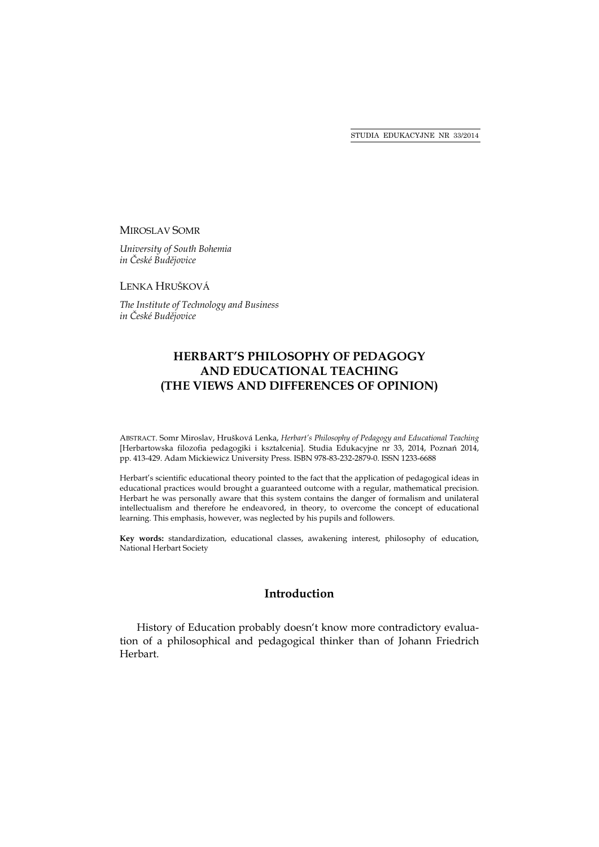#### MIROSLAV SOMR

*University of South Bohemia in České Budějovice* 

LENKA HRUŠKOVÁ

*The Institute of Technology and Business in České Budějovice* 

# **HERBART'S PHILOSOPHY OF PEDAGOGY AND EDUCATIONAL TEACHING (THE VIEWS AND DIFFERENCES OF OPINION)**

ABSTRACT. Somr Miroslav, Hrušková Lenka, *Herbart's Philosophy of Pedagogy and Educational Teaching* [Herbartowska filozofia pedagogiki i kształcenia]. Studia Edukacyjne nr 33, 2014, Poznań 2014, pp. 413-429. Adam Mickiewicz University Press. ISBN 978-83-232-2879-0. ISSN 1233-6688

Herbart's scientific educational theory pointed to the fact that the application of pedagogical ideas in educational practices would brought a guaranteed outcome with a regular, mathematical precision. Herbart he was personally aware that this system contains the danger of formalism and unilateral intellectualism and therefore he endeavored, in theory, to overcome the concept of educational learning. This emphasis, however, was neglected by his pupils and followers.

**Key words:** standardization, educational classes, awakening interest, philosophy of education, National Herbart Society

# **Introduction**

History of Education probably doesn't know more contradictory evaluation of a philosophical and pedagogical thinker than of Johann Friedrich Herbart*.*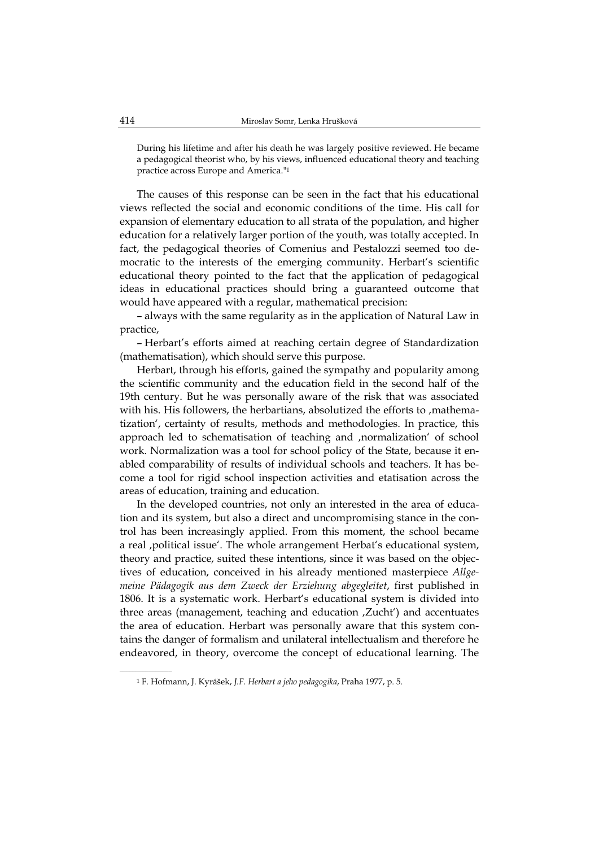During his lifetime and after his death he was largely positive reviewed. He became a pedagogical theorist who, by his views, influenced educational theory and teaching practice across Europe and America."1

The causes of this response can be seen in the fact that his educational views reflected the social and economic conditions of the time. His call for expansion of elementary education to all strata of the population, and higher education for a relatively larger portion of the youth, was totally accepted. In fact, the pedagogical theories of Comenius and Pestalozzi seemed too democratic to the interests of the emerging community. Herbart's scientific educational theory pointed to the fact that the application of pedagogical ideas in educational practices should bring a guaranteed outcome that would have appeared with a regular, mathematical precision:

– always with the same regularity as in the application of Natural Law in practice,

– Herbart's efforts aimed at reaching certain degree of Standardization (mathematisation), which should serve this purpose.

Herbart, through his efforts, gained the sympathy and popularity among the scientific community and the education field in the second half of the 19th century. But he was personally aware of the risk that was associated with his. His followers, the herbartians, absolutized the efforts to , mathematization', certainty of results, methods and methodologies. In practice, this approach led to schematisation of teaching and ,normalization' of school work. Normalization was a tool for school policy of the State, because it enabled comparability of results of individual schools and teachers. It has become a tool for rigid school inspection activities and etatisation across the areas of education, training and education.

In the developed countries, not only an interested in the area of education and its system, but also a direct and uncompromising stance in the control has been increasingly applied. From this moment, the school became a real , political issue'. The whole arrangement Herbat's educational system, theory and practice, suited these intentions, since it was based on the objectives of education, conceived in his already mentioned masterpiece *Allgemeine Pädagogik aus dem Zweck der Erziehung abgegleitet*, first published in 1806. It is a systematic work. Herbart's educational system is divided into three areas (management, teaching and education 'Zucht') and accentuates the area of education. Herbart was personally aware that this system contains the danger of formalism and unilateral intellectualism and therefore he endeavored, in theory, overcome the concept of educational learning. The

<sup>1</sup> F. Hofmann, J. Kyrášek, *J.F. Herbart a jeho pedagogika*, Praha 1977, p. 5.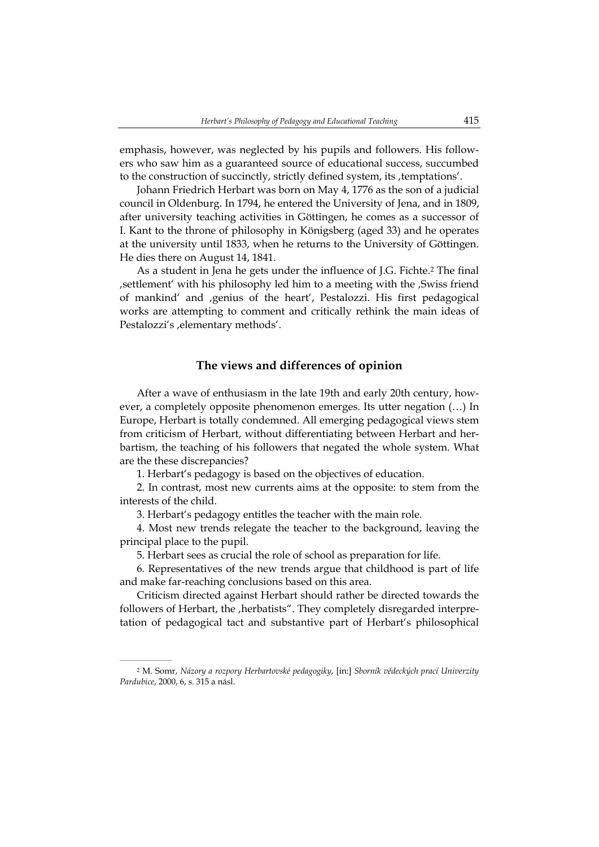emphasis, however, was neglected by his pupils and followers. His followers who saw him as a guaranteed source of educational success, succumbed to the construction of succinctly, strictly defined system, its, temptations'.

Johann Friedrich Herbart was born on May 4, 1776 as the son of a judicial council in Oldenburg. In 1794, he entered the University of Jena, and in 1809, after university teaching activities in Göttingen, he comes as a successor of I. Kant to the throne of philosophy in Königsberg (aged 33) and he operates at the university until 1833, when he returns to the University of Göttingen. He dies there on August 14, 1841.

As a student in Jena he gets under the influence of J.G. Fichte.2 The final 'settlement' with his philosophy led him to a meeting with the 'Swiss friend of mankind' and , genius of the heart', Pestalozzi. His first pedagogical works are attempting to comment and critically rethink the main ideas of Pestalozzi's , elementary methods'.

### **The views and differences of opinion**

After a wave of enthusiasm in the late 19th and early 20th century, however, a completely opposite phenomenon emerges. Its utter negation (…) In Europe, Herbart is totally condemned. All emerging pedagogical views stem from criticism of Herbart, without differentiating between Herbart and herbartism, the teaching of his followers that negated the whole system. What are the these discrepancies?

1. Herbart's pedagogy is based on the objectives of education.

2. In contrast, most new currents aims at the opposite: to stem from the interests of the child.

3. Herbart's pedagogy entitles the teacher with the main role.

4. Most new trends relegate the teacher to the background, leaving the principal place to the pupil.

5. Herbart sees as crucial the role of school as preparation for life.

6. Representatives of the new trends argue that childhood is part of life and make far-reaching conclusions based on this area.

Criticism directed against Herbart should rather be directed towards the followers of Herbart, the , herbatists". They completely disregarded interpretation of pedagogical tact and substantive part of Herbart's philosophical

<sup>2</sup> M. Somr, *Názory a rozpory Herbartovské pedagogiky*, [in:] *Sborník vědeckých prací Univerzity Pardubice*, 2000, 6, s. 315 a násl.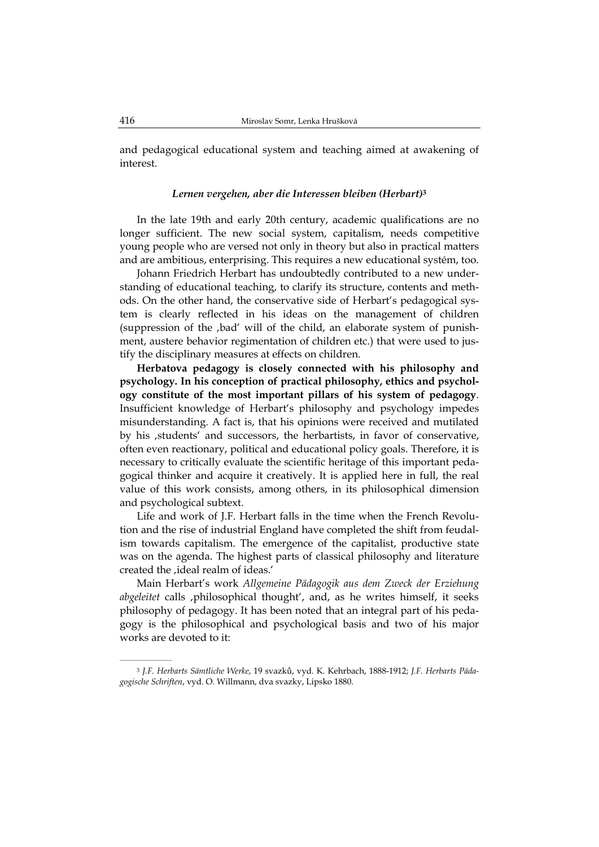and pedagogical educational system and teaching aimed at awakening of interest.

#### *Lernen vergehen, aber die Interessen bleiben (Herbart)***<sup>3</sup>**

In the late 19th and early 20th century, academic qualifications are no longer sufficient. The new social system, capitalism, needs competitive young people who are versed not only in theory but also in practical matters and are ambitious, enterprising. This requires a new educational systém, too.

Johann Friedrich Herbart has undoubtedly contributed to a new understanding of educational teaching, to clarify its structure, contents and methods. On the other hand, the conservative side of Herbart's pedagogical system is clearly reflected in his ideas on the management of children (suppression of the 'bad' will of the child, an elaborate system of punishment, austere behavior regimentation of children etc.) that were used to justify the disciplinary measures at effects on children.

**Herbatova pedagogy is closely connected with his philosophy and psychology. In his conception of practical philosophy, ethics and psychology constitute of the most important pillars of his system of pedagogy**. Insufficient knowledge of Herbart's philosophy and psychology impedes misunderstanding. A fact is, that his opinions were received and mutilated by his , students' and successors, the herbartists, in favor of conservative, often even reactionary, political and educational policy goals. Therefore, it is necessary to critically evaluate the scientific heritage of this important pedagogical thinker and acquire it creatively. It is applied here in full, the real value of this work consists, among others, in its philosophical dimension and psychological subtext.

Life and work of J.F. Herbart falls in the time when the French Revolution and the rise of industrial England have completed the shift from feudalism towards capitalism. The emergence of the capitalist, productive state was on the agenda. The highest parts of classical philosophy and literature created the ,ideal realm of ideas.'

Main Herbart's work *Allgemeine Pädagogik aus dem Zweck der Erziehung abgeleitet* calls 'philosophical thought', and, as he writes himself, it seeks philosophy of pedagogy. It has been noted that an integral part of his pedagogy is the philosophical and psychological basis and two of his major works are devoted to it:

<sup>3</sup> *J.F. Herbarts Sämtliche Werke*, 19 svazků, vyd. K. Kehrbach, 1888-1912; *J.F. Herbarts Pädagogische Schriften*, vyd. O. Willmann, dva svazky, Lipsko 1880.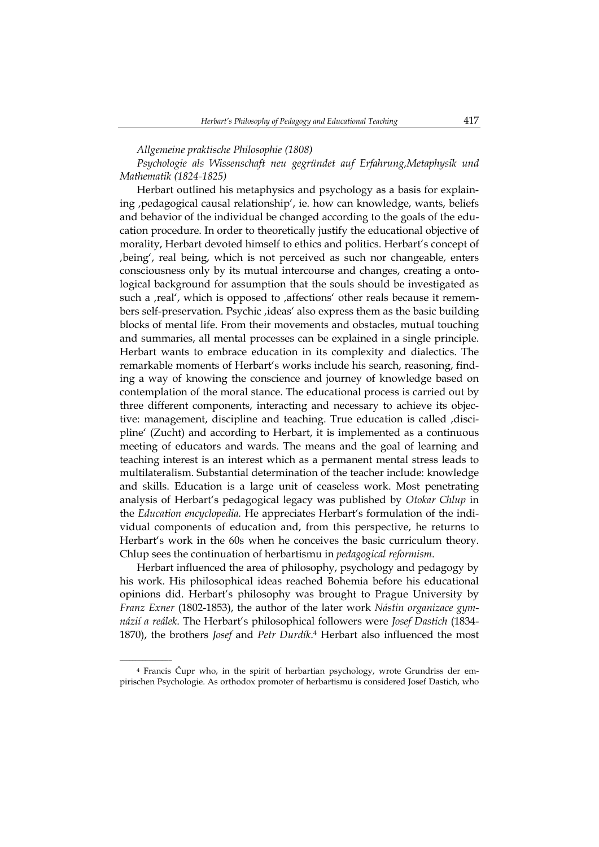*Allgemeine praktische Philosophie (1808)* 

*Psychologie als Wissenschaft neu gegründet auf Erfahrung,Metaphysik und Mathematik (1824-1825)* 

Herbart outlined his metaphysics and psychology as a basis for explaining , pedagogical causal relationship', ie. how can knowledge, wants, beliefs and behavior of the individual be changed according to the goals of the education procedure. In order to theoretically justify the educational objective of morality, Herbart devoted himself to ethics and politics. Herbart's concept of being', real being, which is not perceived as such nor changeable, enters consciousness only by its mutual intercourse and changes, creating a ontological background for assumption that the souls should be investigated as such a , real', which is opposed to , affections' other reals because it remembers self-preservation. Psychic 'ideas' also express them as the basic building blocks of mental life. From their movements and obstacles, mutual touching and summaries, all mental processes can be explained in a single principle. Herbart wants to embrace education in its complexity and dialectics. The remarkable moments of Herbart's works include his search, reasoning, finding a way of knowing the conscience and journey of knowledge based on contemplation of the moral stance. The educational process is carried out by three different components, interacting and necessary to achieve its objective: management, discipline and teaching. True education is called , discipline' (Zucht) and according to Herbart, it is implemented as a continuous meeting of educators and wards. The means and the goal of learning and teaching interest is an interest which as a permanent mental stress leads to multilateralism. Substantial determination of the teacher include: knowledge and skills. Education is a large unit of ceaseless work. Most penetrating analysis of Herbart's pedagogical legacy was published by *Otokar Chlup* in the *Education encyclopedia.* He appreciates Herbart's formulation of the individual components of education and, from this perspective, he returns to Herbart's work in the 60s when he conceives the basic curriculum theory. Chlup sees the continuation of herbartismu in *pedagogical reformism*.

Herbart influenced the area of philosophy, psychology and pedagogy by his work. His philosophical ideas reached Bohemia before his educational opinions did. Herbart's philosophy was brought to Prague University by *Franz Exner* (1802-1853), the author of the later work *Nástin organizace gymnázií a reálek*. The Herbart's philosophical followers were *Josef Dastich* (1834- 1870), the brothers *Josef* and *Petr Durdík*.4 Herbart also influenced the most

<sup>4</sup> Francis Čupr who, in the spirit of herbartian psychology, wrote Grundriss der empirischen Psychologie. As orthodox promoter of herbartismu is considered Josef Dastich, who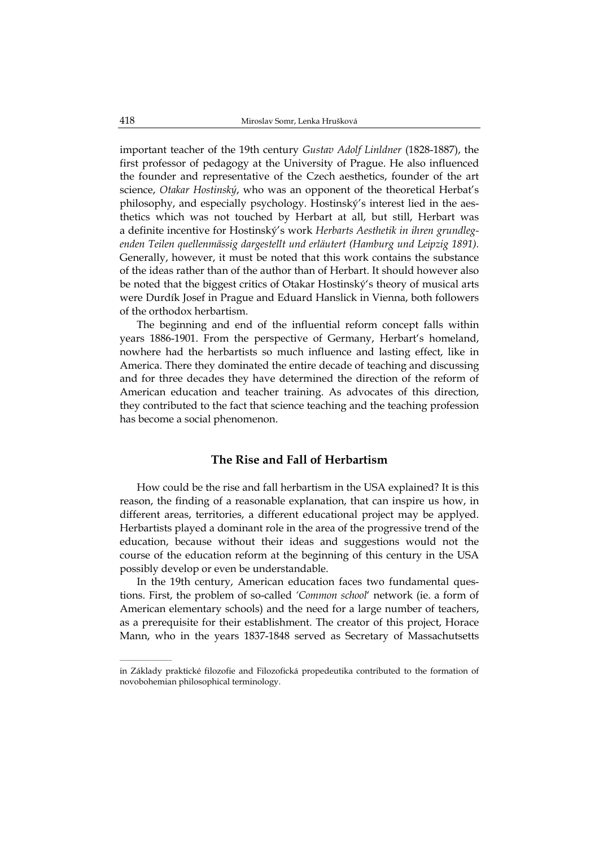important teacher of the 19th century *Gustav Adolf Linldner* (1828-1887), the first professor of pedagogy at the University of Prague. He also influenced the founder and representative of the Czech aesthetics, founder of the art science, *Otakar Hostinský*, who was an opponent of the theoretical Herbat's philosophy, and especially psychology. Hostinský's interest lied in the aesthetics which was not touched by Herbart at all, but still, Herbart was a definite incentive for Hostinský's work *Herbarts Aesthetik in ihren grundlegenden Teilen quellenmässig dargestellt und erläutert (Hamburg und Leipzig 1891).* Generally, however, it must be noted that this work contains the substance of the ideas rather than of the author than of Herbart. It should however also be noted that the biggest critics of Otakar Hostinský's theory of musical arts were Durdík Josef in Prague and Eduard Hanslick in Vienna, both followers of the orthodox herbartism.

The beginning and end of the influential reform concept falls within years 1886-1901. From the perspective of Germany, Herbart's homeland, nowhere had the herbartists so much influence and lasting effect, like in America. There they dominated the entire decade of teaching and discussing and for three decades they have determined the direction of the reform of American education and teacher training. As advocates of this direction, they contributed to the fact that science teaching and the teaching profession has become a social phenomenon.

# **The Rise and Fall of Herbartism**

How could be the rise and fall herbartism in the USA explained? It is this reason, the finding of a reasonable explanation, that can inspire us how, in different areas, territories, a different educational project may be applyed. Herbartists played a dominant role in the area of the progressive trend of the education, because without their ideas and suggestions would not the course of the education reform at the beginning of this century in the USA possibly develop or even be understandable.

In the 19th century, American education faces two fundamental questions. First, the problem of so-called *'Common school*' network (ie. a form of American elementary schools) and the need for a large number of teachers, as a prerequisite for their establishment. The creator of this project, Horace Mann, who in the years 1837-1848 served as Secretary of Massachutsetts

in Základy praktické filozofie and Filozofická propedeutika contributed to the formation of novobohemian philosophical terminology.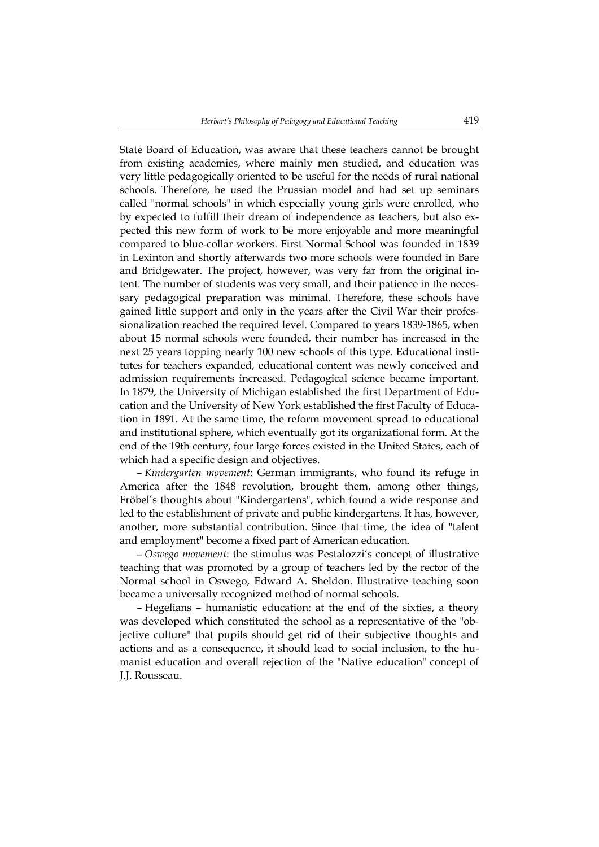State Board of Education, was aware that these teachers cannot be brought from existing academies, where mainly men studied, and education was very little pedagogically oriented to be useful for the needs of rural national schools. Therefore, he used the Prussian model and had set up seminars called "normal schools" in which especially young girls were enrolled, who by expected to fulfill their dream of independence as teachers, but also expected this new form of work to be more enjoyable and more meaningful compared to blue-collar workers. First Normal School was founded in 1839 in Lexinton and shortly afterwards two more schools were founded in Bare and Bridgewater. The project, however, was very far from the original intent. The number of students was very small, and their patience in the necessary pedagogical preparation was minimal. Therefore, these schools have gained little support and only in the years after the Civil War their professionalization reached the required level. Compared to years 1839-1865, when about 15 normal schools were founded, their number has increased in the next 25 years topping nearly 100 new schools of this type. Educational institutes for teachers expanded, educational content was newly conceived and admission requirements increased. Pedagogical science became important. In 1879, the University of Michigan established the first Department of Education and the University of New York established the first Faculty of Education in 1891. At the same time, the reform movement spread to educational and institutional sphere, which eventually got its organizational form. At the end of the 19th century, four large forces existed in the United States, each of which had a specific design and objectives.

– *Kindergarten movement*: German immigrants, who found its refuge in America after the 1848 revolution, brought them, among other things, Fröbel's thoughts about "Kindergartens", which found a wide response and led to the establishment of private and public kindergartens. It has, however, another, more substantial contribution. Since that time, the idea of "talent and employment" become a fixed part of American education.

– *Oswego movement*: the stimulus was Pestalozzi's concept of illustrative teaching that was promoted by a group of teachers led by the rector of the Normal school in Oswego, Edward A. Sheldon. Illustrative teaching soon became a universally recognized method of normal schools.

– Hegelians – humanistic education: at the end of the sixties, a theory was developed which constituted the school as a representative of the "objective culture" that pupils should get rid of their subjective thoughts and actions and as a consequence, it should lead to social inclusion, to the humanist education and overall rejection of the "Native education" concept of J.J. Rousseau.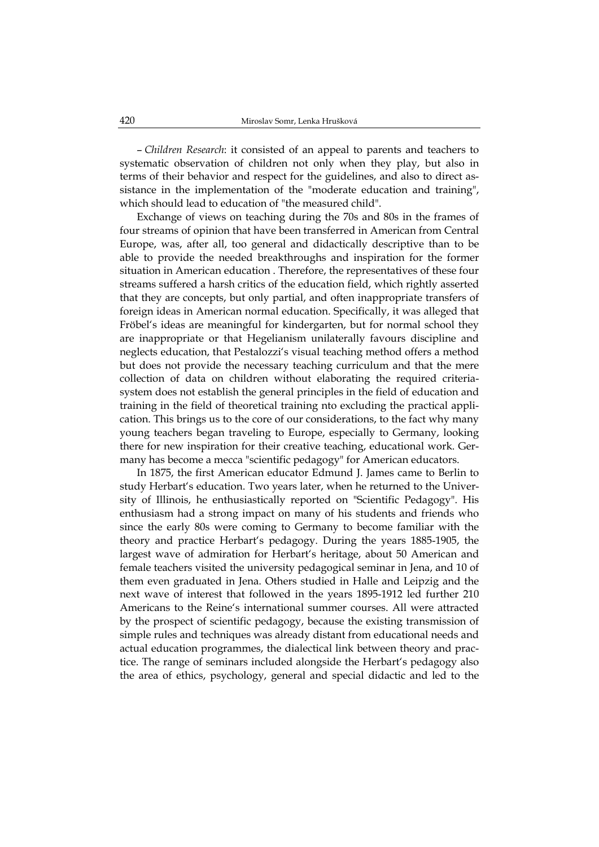– *Children Research*: it consisted of an appeal to parents and teachers to systematic observation of children not only when they play, but also in terms of their behavior and respect for the guidelines, and also to direct assistance in the implementation of the "moderate education and training", which should lead to education of "the measured child".

Exchange of views on teaching during the 70s and 80s in the frames of four streams of opinion that have been transferred in American from Central Europe, was, after all, too general and didactically descriptive than to be able to provide the needed breakthroughs and inspiration for the former situation in American education . Therefore, the representatives of these four streams suffered a harsh critics of the education field, which rightly asserted that they are concepts, but only partial, and often inappropriate transfers of foreign ideas in American normal education. Specifically, it was alleged that Fröbel's ideas are meaningful for kindergarten, but for normal school they are inappropriate or that Hegelianism unilaterally favours discipline and neglects education, that Pestalozzi's visual teaching method offers a method but does not provide the necessary teaching curriculum and that the mere collection of data on children without elaborating the required criteriasystem does not establish the general principles in the field of education and training in the field of theoretical training nto excluding the practical application. This brings us to the core of our considerations, to the fact why many young teachers began traveling to Europe, especially to Germany, looking there for new inspiration for their creative teaching, educational work. Germany has become a mecca "scientific pedagogy" for American educators.

In 1875, the first American educator Edmund J. James came to Berlin to study Herbart's education. Two years later, when he returned to the University of Illinois, he enthusiastically reported on "Scientific Pedagogy". His enthusiasm had a strong impact on many of his students and friends who since the early 80s were coming to Germany to become familiar with the theory and practice Herbart's pedagogy. During the years 1885-1905, the largest wave of admiration for Herbart's heritage, about 50 American and female teachers visited the university pedagogical seminar in Jena, and 10 of them even graduated in Jena. Others studied in Halle and Leipzig and the next wave of interest that followed in the years 1895-1912 led further 210 Americans to the Reine's international summer courses. All were attracted by the prospect of scientific pedagogy, because the existing transmission of simple rules and techniques was already distant from educational needs and actual education programmes, the dialectical link between theory and practice. The range of seminars included alongside the Herbart's pedagogy also the area of ethics, psychology, general and special didactic and led to the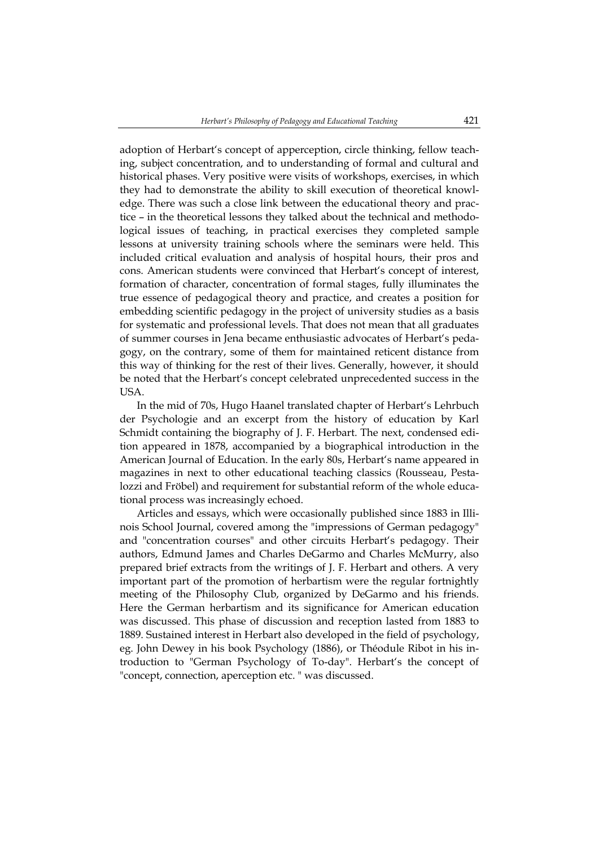adoption of Herbart's concept of apperception, circle thinking, fellow teaching, subject concentration, and to understanding of formal and cultural and historical phases. Very positive were visits of workshops, exercises, in which they had to demonstrate the ability to skill execution of theoretical knowledge. There was such a close link between the educational theory and practice – in the theoretical lessons they talked about the technical and methodological issues of teaching, in practical exercises they completed sample lessons at university training schools where the seminars were held. This included critical evaluation and analysis of hospital hours, their pros and cons. American students were convinced that Herbart's concept of interest, formation of character, concentration of formal stages, fully illuminates the true essence of pedagogical theory and practice, and creates a position for embedding scientific pedagogy in the project of university studies as a basis for systematic and professional levels. That does not mean that all graduates of summer courses in Jena became enthusiastic advocates of Herbart's pedagogy, on the contrary, some of them for maintained reticent distance from this way of thinking for the rest of their lives. Generally, however, it should be noted that the Herbart's concept celebrated unprecedented success in the USA.

In the mid of 70s, Hugo Haanel translated chapter of Herbart's Lehrbuch der Psychologie and an excerpt from the history of education by Karl Schmidt containing the biography of J. F. Herbart. The next, condensed edition appeared in 1878, accompanied by a biographical introduction in the American Journal of Education. In the early 80s, Herbart's name appeared in magazines in next to other educational teaching classics (Rousseau, Pestalozzi and Fröbel) and requirement for substantial reform of the whole educational process was increasingly echoed.

Articles and essays, which were occasionally published since 1883 in Illinois School Journal, covered among the "impressions of German pedagogy" and "concentration courses" and other circuits Herbart's pedagogy. Their authors, Edmund James and Charles DeGarmo and Charles McMurry, also prepared brief extracts from the writings of J. F. Herbart and others. A very important part of the promotion of herbartism were the regular fortnightly meeting of the Philosophy Club, organized by DeGarmo and his friends. Here the German herbartism and its significance for American education was discussed. This phase of discussion and reception lasted from 1883 to 1889. Sustained interest in Herbart also developed in the field of psychology, eg. John Dewey in his book Psychology (1886), or Théodule Ribot in his introduction to "German Psychology of To-day". Herbart's the concept of "concept, connection, aperception etc. " was discussed.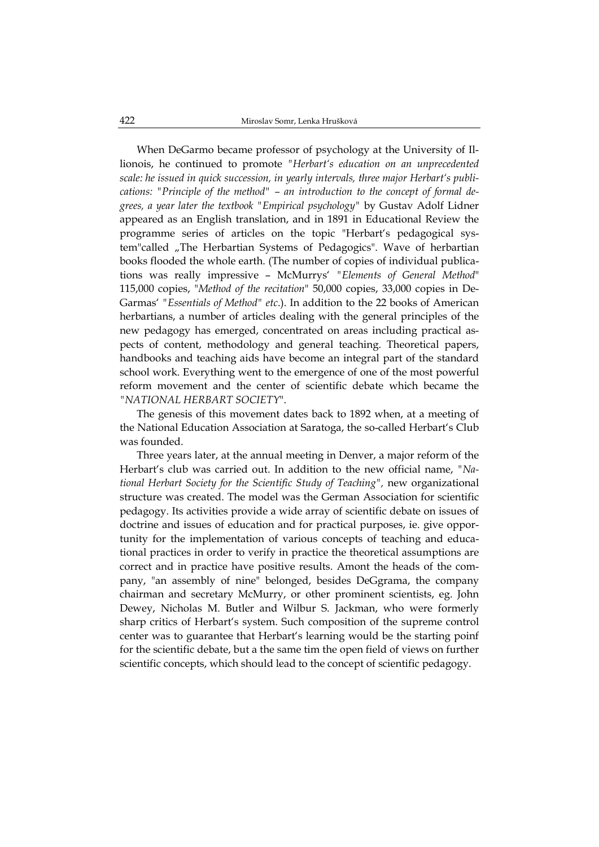When DeGarmo became professor of psychology at the University of Illionois, he continued to promote *"Herbart's education on an unprecedented scale: he issued in quick succession, in yearly intervals, three major Herbart's publications: "Principle of the method" – an introduction to the concept of formal degrees, a year later the textbook "Empirical psychology"* by Gustav Adolf Lidner appeared as an English translation, and in 1891 in Educational Review the programme series of articles on the topic "Herbart's pedagogical system"called "The Herbartian Systems of Pedagogics". Wave of herbartian books flooded the whole earth. (The number of copies of individual publications was really impressive – McMurrys' *"Elements of General Method*" 115,000 copies, "*Method of the recitation*" 50,000 copies, 33,000 copies in De-Garmas' *"Essentials of Method" etc*.). In addition to the 22 books of American herbartians, a number of articles dealing with the general principles of the new pedagogy has emerged, concentrated on areas including practical aspects of content, methodology and general teaching. Theoretical papers, handbooks and teaching aids have become an integral part of the standard school work. Everything went to the emergence of one of the most powerful reform movement and the center of scientific debate which became the *"NATIONAL HERBART SOCIETY*".

The genesis of this movement dates back to 1892 when, at a meeting of the National Education Association at Saratoga, the so-called Herbart's Club was founded.

Three years later, at the annual meeting in Denver, a major reform of the Herbart's club was carried out. In addition to the new official name, *"National Herbart Society for the Scientific Study of Teaching",* new organizational structure was created. The model was the German Association for scientific pedagogy. Its activities provide a wide array of scientific debate on issues of doctrine and issues of education and for practical purposes, ie. give opportunity for the implementation of various concepts of teaching and educational practices in order to verify in practice the theoretical assumptions are correct and in practice have positive results. Amont the heads of the company, "an assembly of nine" belonged, besides DeGgrama, the company chairman and secretary McMurry, or other prominent scientists, eg. John Dewey, Nicholas M. Butler and Wilbur S. Jackman, who were formerly sharp critics of Herbart's system. Such composition of the supreme control center was to guarantee that Herbart's learning would be the starting poinf for the scientific debate, but a the same tim the open field of views on further scientific concepts, which should lead to the concept of scientific pedagogy.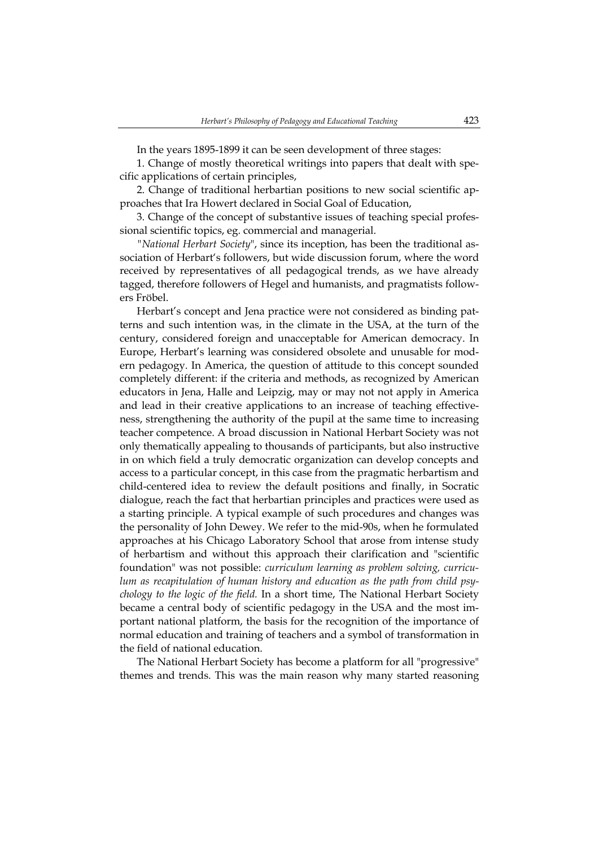In the years 1895-1899 it can be seen development of three stages:

1. Change of mostly theoretical writings into papers that dealt with specific applications of certain principles,

2. Change of traditional herbartian positions to new social scientific approaches that Ira Howert declared in Social Goal of Education,

3. Change of the concept of substantive issues of teaching special professional scientific topics, eg. commercial and managerial.

*"National Herbart Society*", since its inception, has been the traditional association of Herbart's followers, but wide discussion forum, where the word received by representatives of all pedagogical trends, as we have already tagged, therefore followers of Hegel and humanists, and pragmatists followers Fröbel.

Herbart's concept and Jena practice were not considered as binding patterns and such intention was, in the climate in the USA, at the turn of the century, considered foreign and unacceptable for American democracy. In Europe, Herbart's learning was considered obsolete and unusable for modern pedagogy. In America, the question of attitude to this concept sounded completely different: if the criteria and methods, as recognized by American educators in Jena, Halle and Leipzig, may or may not not apply in America and lead in their creative applications to an increase of teaching effectiveness, strengthening the authority of the pupil at the same time to increasing teacher competence. A broad discussion in National Herbart Society was not only thematically appealing to thousands of participants, but also instructive in on which field a truly democratic organization can develop concepts and access to a particular concept, in this case from the pragmatic herbartism and child-centered idea to review the default positions and finally, in Socratic dialogue, reach the fact that herbartian principles and practices were used as a starting principle. A typical example of such procedures and changes was the personality of John Dewey. We refer to the mid-90s, when he formulated approaches at his Chicago Laboratory School that arose from intense study of herbartism and without this approach their clarification and "scientific foundation" was not possible: *curriculum learning as problem solving, curriculum as recapitulation of human history and education as the path from child psychology to the logic of the field.* In a short time, The National Herbart Society became a central body of scientific pedagogy in the USA and the most important national platform, the basis for the recognition of the importance of normal education and training of teachers and a symbol of transformation in the field of national education.

The National Herbart Society has become a platform for all "progressive" themes and trends. This was the main reason why many started reasoning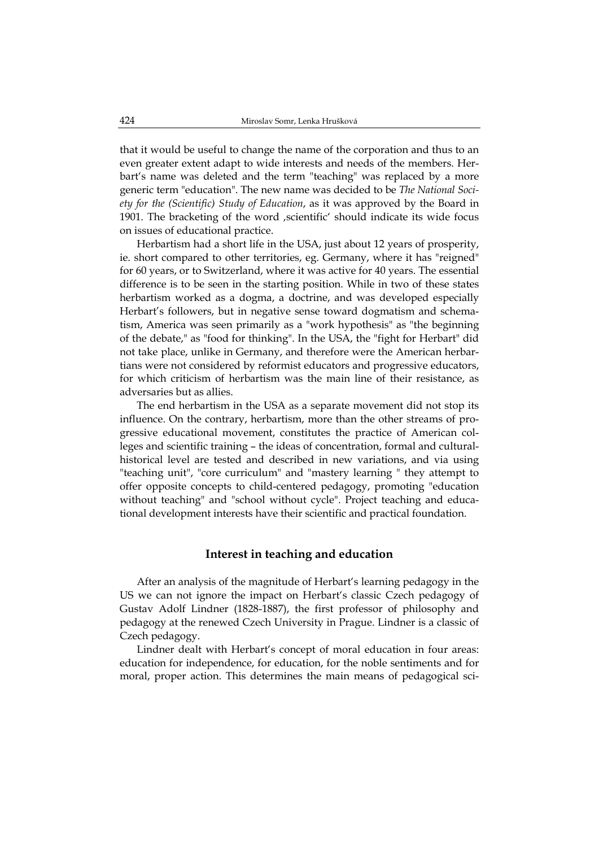that it would be useful to change the name of the corporation and thus to an even greater extent adapt to wide interests and needs of the members. Herbart's name was deleted and the term "teaching" was replaced by a more generic term "education". The new name was decided to be *The National Society for the (Scientific) Study of Education*, as it was approved by the Board in 1901. The bracketing of the word , scientific' should indicate its wide focus on issues of educational practice.

Herbartism had a short life in the USA, just about 12 years of prosperity, ie. short compared to other territories, eg. Germany, where it has "reigned" for 60 years, or to Switzerland, where it was active for 40 years. The essential difference is to be seen in the starting position. While in two of these states herbartism worked as a dogma, a doctrine, and was developed especially Herbart's followers, but in negative sense toward dogmatism and schematism, America was seen primarily as a "work hypothesis" as "the beginning of the debate," as "food for thinking". In the USA, the "fight for Herbart" did not take place, unlike in Germany, and therefore were the American herbartians were not considered by reformist educators and progressive educators, for which criticism of herbartism was the main line of their resistance, as adversaries but as allies.

The end herbartism in the USA as a separate movement did not stop its influence. On the contrary, herbartism, more than the other streams of progressive educational movement, constitutes the practice of American colleges and scientific training – the ideas of concentration, formal and culturalhistorical level are tested and described in new variations, and via using "teaching unit", "core curriculum" and "mastery learning " they attempt to offer opposite concepts to child-centered pedagogy, promoting "education without teaching" and "school without cycle". Project teaching and educational development interests have their scientific and practical foundation.

#### **Interest in teaching and education**

After an analysis of the magnitude of Herbart's learning pedagogy in the US we can not ignore the impact on Herbart's classic Czech pedagogy of Gustav Adolf Lindner (1828-1887), the first professor of philosophy and pedagogy at the renewed Czech University in Prague. Lindner is a classic of Czech pedagogy.

Lindner dealt with Herbart's concept of moral education in four areas: education for independence, for education, for the noble sentiments and for moral, proper action. This determines the main means of pedagogical sci-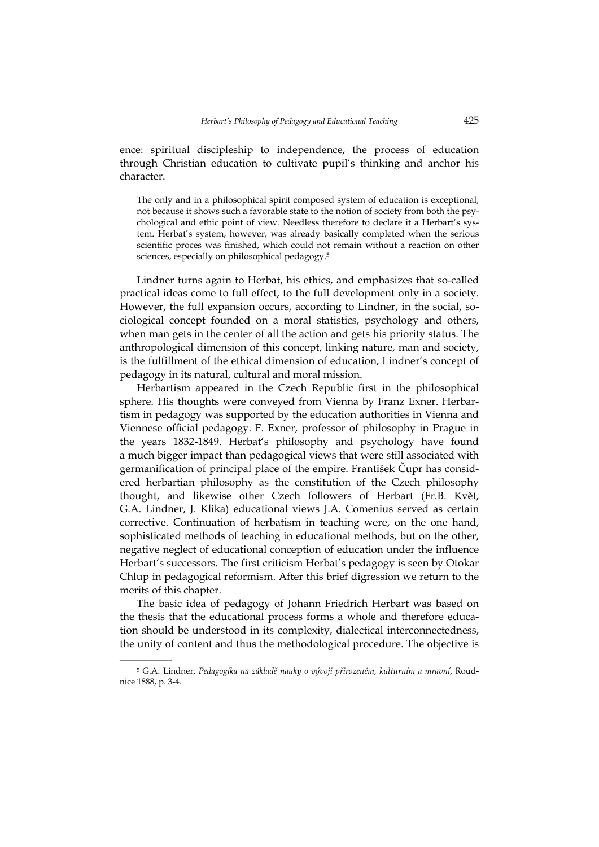ence: spiritual discipleship to independence, the process of education through Christian education to cultivate pupil's thinking and anchor his character.

The only and in a philosophical spirit composed system of education is exceptional, not because it shows such a favorable state to the notion of society from both the psychological and ethic point of view. Needless therefore to declare it a Herbart's system. Herbat's system, however, was already basically completed when the serious scientific proces was finished, which could not remain without a reaction on other sciences, especially on philosophical pedagogy.5

Lindner turns again to Herbat, his ethics, and emphasizes that so-called practical ideas come to full effect, to the full development only in a society. However, the full expansion occurs, according to Lindner, in the social, sociological concept founded on a moral statistics, psychology and others, when man gets in the center of all the action and gets his priority status. The anthropological dimension of this concept, linking nature, man and society, is the fulfillment of the ethical dimension of education, Lindner's concept of pedagogy in its natural, cultural and moral mission.

Herbartism appeared in the Czech Republic first in the philosophical sphere. His thoughts were conveyed from Vienna by Franz Exner. Herbartism in pedagogy was supported by the education authorities in Vienna and Viennese official pedagogy. F. Exner, professor of philosophy in Prague in the years 1832-1849. Herbat's philosophy and psychology have found a much bigger impact than pedagogical views that were still associated with germanification of principal place of the empire. František Čupr has considered herbartian philosophy as the constitution of the Czech philosophy thought, and likewise other Czech followers of Herbart (Fr.B. Květ, G.A. Lindner, J. Klika) educational views J.A. Comenius served as certain corrective. Continuation of herbatism in teaching were, on the one hand, sophisticated methods of teaching in educational methods, but on the other, negative neglect of educational conception of education under the influence Herbart's successors. The first criticism Herbat's pedagogy is seen by Otokar Chlup in pedagogical reformism. After this brief digression we return to the merits of this chapter.

The basic idea of pedagogy of Johann Friedrich Herbart was based on the thesis that the educational process forms a whole and therefore education should be understood in its complexity, dialectical interconnectedness, the unity of content and thus the methodological procedure. The objective is

<sup>5</sup> G.A. Lindner, *Pedagogika na základě nauky o vývoji přirozeném, kulturním a mravní*, Roudnice 1888, p. 3-4.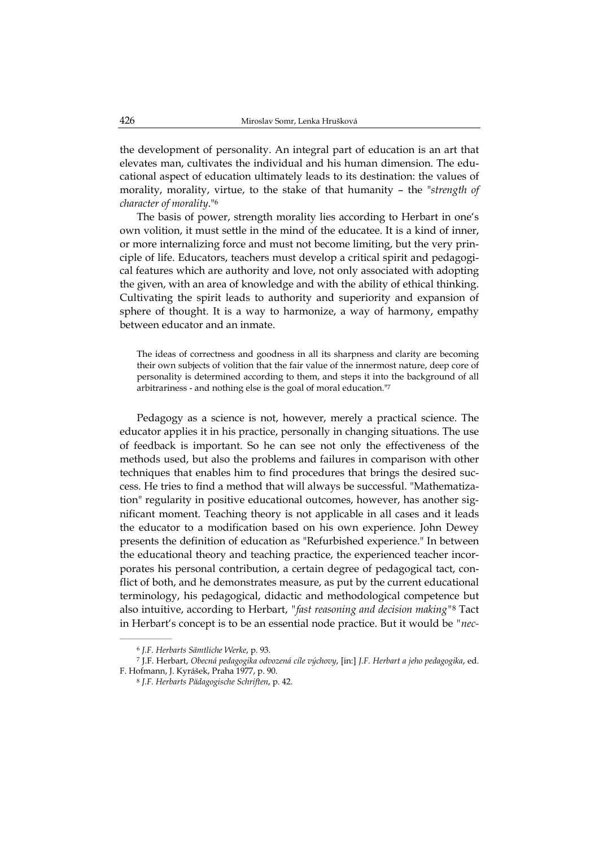the development of personality. An integral part of education is an art that elevates man, cultivates the individual and his human dimension. The educational aspect of education ultimately leads to its destination: the values of morality, morality, virtue, to the stake of that humanity – the "*strength of character of morality*."6

The basis of power, strength morality lies according to Herbart in one's own volition, it must settle in the mind of the educatee. It is a kind of inner, or more internalizing force and must not become limiting, but the very principle of life. Educators, teachers must develop a critical spirit and pedagogical features which are authority and love, not only associated with adopting the given, with an area of knowledge and with the ability of ethical thinking. Cultivating the spirit leads to authority and superiority and expansion of sphere of thought. It is a way to harmonize, a way of harmony, empathy between educator and an inmate.

The ideas of correctness and goodness in all its sharpness and clarity are becoming their own subjects of volition that the fair value of the innermost nature, deep core of personality is determined according to them, and steps it into the background of all arbitrariness - and nothing else is the goal of moral education."7

Pedagogy as a science is not, however, merely a practical science. The educator applies it in his practice, personally in changing situations. The use of feedback is important. So he can see not only the effectiveness of the methods used, but also the problems and failures in comparison with other techniques that enables him to find procedures that brings the desired success. He tries to find a method that will always be successful. "Mathematization" regularity in positive educational outcomes, however, has another significant moment. Teaching theory is not applicable in all cases and it leads the educator to a modification based on his own experience. John Dewey presents the definition of education as "Refurbished experience." In between the educational theory and teaching practice, the experienced teacher incorporates his personal contribution, a certain degree of pedagogical tact, conflict of both, and he demonstrates measure, as put by the current educational terminology, his pedagogical, didactic and methodological competence but also intuitive, according to Herbart, *"fast reasoning and decision making"*8 Tact in Herbart's concept is to be an essential node practice. But it would be *"nec-*

<sup>6</sup> *J.F. Herbarts Sämtliche Werke*, p. 93.

<sup>7</sup> J.F. Herbart, *Obecná pedagogika odvozená cíle výchovy*, [in:] *J.F. Herbart a jeho pedagogika*, ed. F. Hofmann, J. Kyrášek, Praha 1977, p. 90.

<sup>8</sup> *J.F. Herbarts Pädagogische Schriften*, p. 42.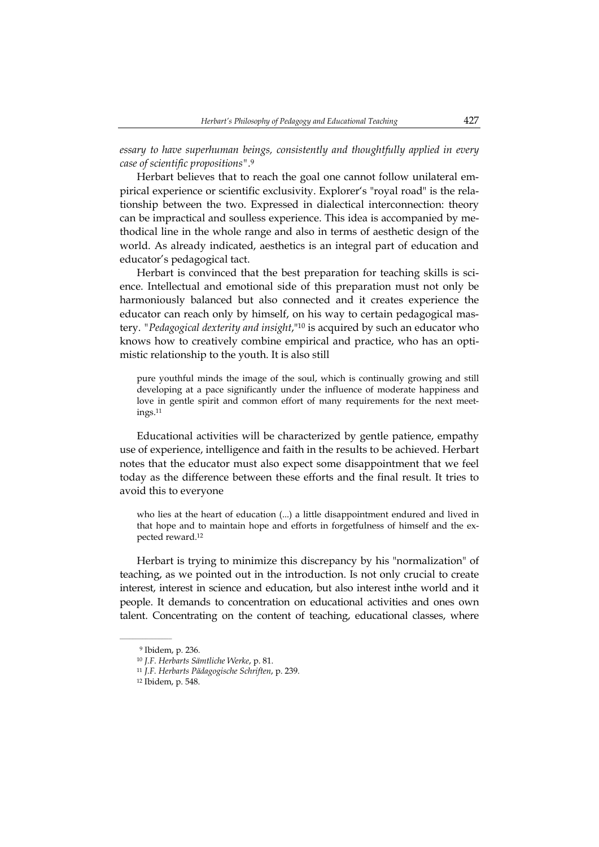*essary to have superhuman beings, consistently and thoughtfully applied in every case of scientific propositions".*<sup>9</sup>

Herbart believes that to reach the goal one cannot follow unilateral empirical experience or scientific exclusivity. Explorer's "royal road" is the relationship between the two. Expressed in dialectical interconnection: theory can be impractical and soulless experience. This idea is accompanied by methodical line in the whole range and also in terms of aesthetic design of the world. As already indicated, aesthetics is an integral part of education and educator's pedagogical tact.

Herbart is convinced that the best preparation for teaching skills is science. Intellectual and emotional side of this preparation must not only be harmoniously balanced but also connected and it creates experience the educator can reach only by himself, on his way to certain pedagogical mastery. *"Pedagogical dexterity and insight*,"10 is acquired by such an educator who knows how to creatively combine empirical and practice, who has an optimistic relationship to the youth. It is also still

pure youthful minds the image of the soul, which is continually growing and still developing at a pace significantly under the influence of moderate happiness and love in gentle spirit and common effort of many requirements for the next meetings.11

Educational activities will be characterized by gentle patience, empathy use of experience, intelligence and faith in the results to be achieved. Herbart notes that the educator must also expect some disappointment that we feel today as the difference between these efforts and the final result. It tries to avoid this to everyone

who lies at the heart of education (...) a little disappointment endured and lived in that hope and to maintain hope and efforts in forgetfulness of himself and the expected reward.12

Herbart is trying to minimize this discrepancy by his "normalization" of teaching, as we pointed out in the introduction. Is not only crucial to create interest, interest in science and education, but also interest inthe world and it people. It demands to concentration on educational activities and ones own talent. Concentrating on the content of teaching, educational classes, where

<sup>9</sup> Ibidem, p. 236.

<sup>10</sup> *J.F. Herbarts Sämtliche Werke*, p. 81.

<sup>11</sup> *J.F. Herbarts Pädagogische Schriften*, p. 239.

<sup>12</sup> Ibidem, p. 548.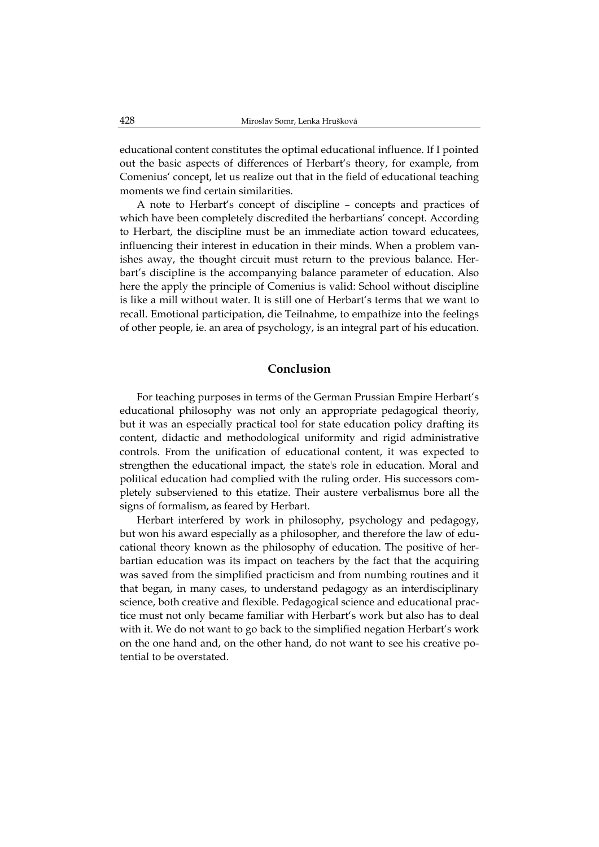educational content constitutes the optimal educational influence. If I pointed out the basic aspects of differences of Herbart's theory, for example, from Comenius' concept, let us realize out that in the field of educational teaching moments we find certain similarities.

A note to Herbart's concept of discipline – concepts and practices of which have been completely discredited the herbartians' concept. According to Herbart, the discipline must be an immediate action toward educatees, influencing their interest in education in their minds. When a problem vanishes away, the thought circuit must return to the previous balance. Herbart's discipline is the accompanying balance parameter of education. Also here the apply the principle of Comenius is valid: School without discipline is like a mill without water. It is still one of Herbart's terms that we want to recall. Emotional participation, die Teilnahme, to empathize into the feelings of other people, ie. an area of psychology, is an integral part of his education.

## **Conclusion**

For teaching purposes in terms of the German Prussian Empire Herbart's educational philosophy was not only an appropriate pedagogical theoriy, but it was an especially practical tool for state education policy drafting its content, didactic and methodological uniformity and rigid administrative controls. From the unification of educational content, it was expected to strengthen the educational impact, the state's role in education. Moral and political education had complied with the ruling order. His successors completely subserviened to this etatize. Their austere verbalismus bore all the signs of formalism, as feared by Herbart.

Herbart interfered by work in philosophy, psychology and pedagogy, but won his award especially as a philosopher, and therefore the law of educational theory known as the philosophy of education. The positive of herbartian education was its impact on teachers by the fact that the acquiring was saved from the simplified practicism and from numbing routines and it that began, in many cases, to understand pedagogy as an interdisciplinary science, both creative and flexible. Pedagogical science and educational practice must not only became familiar with Herbart's work but also has to deal with it. We do not want to go back to the simplified negation Herbart's work on the one hand and, on the other hand, do not want to see his creative potential to be overstated.